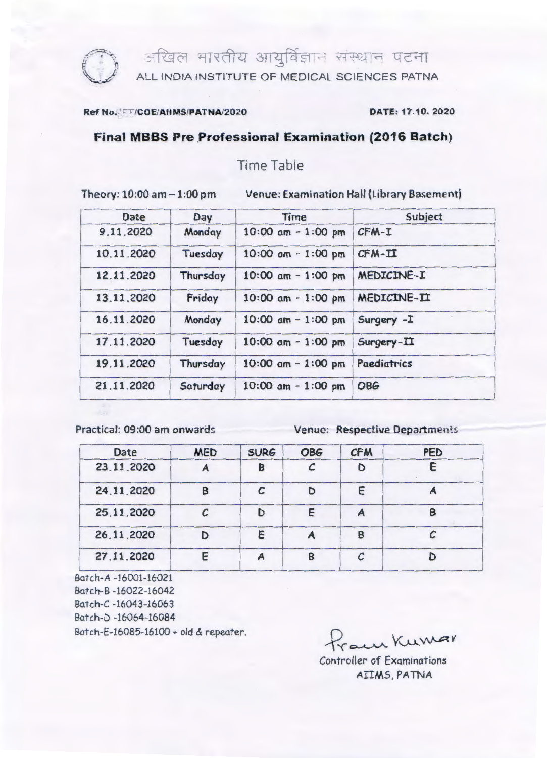

**ि १** अखिल भारतीय आयुर्विज्ञान संस्थान पटना

ALL INDIA INSTITUTE OF MEDICAL SCIENCES PATNA

## Ref No. V: //COE/AllMS/PATNA/2020 DATE: 17.10. 2020

## Final MBBS Pre Professional Examination (2016 Batch)

Time Table

Theory: 10:00 am - 1:00 pm Venue: Examination Hall (Library Basement)

| <b>Date</b> | Day      | <b>Time</b>           | Subject            |  |
|-------------|----------|-----------------------|--------------------|--|
| 9.11.2020   | Monday   | $10:00$ am $-1:00$ pm | $CFM-T$            |  |
| 10.11.2020  | Tuesday  | $10:00$ am $-1:00$ pm | $CFM-TI$           |  |
| 12.11.2020  | Thursday | $10:00$ am - 1:00 pm  | <b>MEDICINE-I</b>  |  |
| 13.11.2020  | Friday   | $10:00$ am $-1:00$ pm | <b>MEDICINE-II</b> |  |
| 16.11.2020  | Monday   | $10:00$ am - 1:00 pm  | Surgery - I        |  |
| 17.11.2020  | Tuesday  | 10:00 $am - 1:00$ pm  | Surgery-II         |  |
| 19.11.2020  | Thursday | $10:00$ am $-1:00$ pm | Paediatrics        |  |
| 21.11.2020  | Saturday | $10:00$ am $-1:00$ pm | <b>OBG</b>         |  |

Practical: 09:00 am onwards Venue: Respective Departments

| <b>Date</b><br>23.11.2020<br>24.11.2020<br>25.11.2020 | <b>MED</b><br>B | <b>SURG</b><br>В<br>r | <b>OBG</b><br>D | <b>CFM</b><br>F | <b>PED</b><br>B |            |   |  |   |   |  |
|-------------------------------------------------------|-----------------|-----------------------|-----------------|-----------------|-----------------|------------|---|--|---|---|--|
|                                                       |                 |                       |                 |                 |                 | 26.11.2020 | D |  |   | B |  |
|                                                       |                 |                       |                 |                 |                 | 27.11.2020 |   |  | B |   |  |

Batch-A -16001-16021 Batch-B -16022-16042 Batch-C -16043-16063 Batch-D -16064-16084 Batch-E-16085-16100 + old & repeater.

 $\tau_{\text{vac}}$  Kumar

Controller of Examinations AIIMS, PATNA